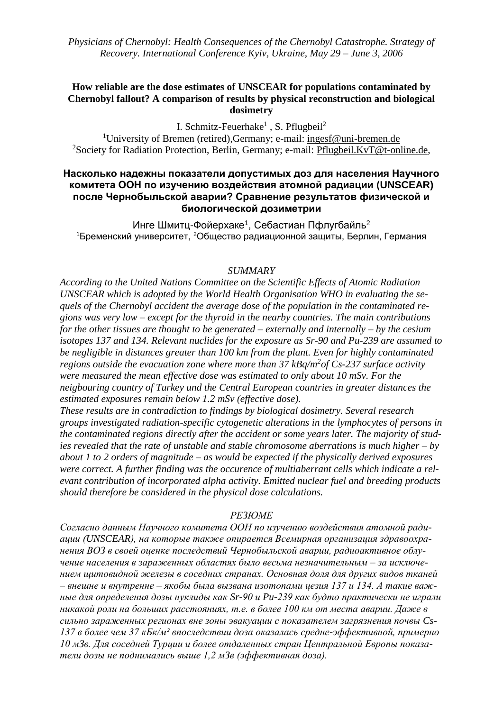## **How reliable are the dose estimates of UNSCEAR for populations contaminated by Chernobyl fallout? A comparison of results by physical reconstruction and biological dosimetry**

I. Schmitz-Feuerhake<sup>1</sup>, S. Pflugbeil<sup>2</sup>

<sup>1</sup>University of Bremen (retired), Germany; e-mail: [ingesf@uni-bremen.de](mailto:ingesf@uni-bremen.de) <sup>2</sup>Society for Radiation Protection, Berlin, Germany; e-mail: *Pflugbeil.KvT@t-online.de*,

## **Насколько надежны показатели допустимых доз для населения Научного комитета ООН по изучению воздействия атомной радиации (UNSCEAR) после Чернобыльской аварии? Сравнение результатов физической и биологической дозиметрии**

Инге Шмитц-Фойерхаке<sup>1</sup>, Себастиан Пфлугбайль<sup>2</sup> <sup>1</sup>Бременский университет, <sup>2</sup>Общество радиационной защиты, Берлин, Германия

### *SUMMARY*

*According to the United Nations Committee on the Scientific Effects of Atomic Radiation UNSCEAR which is adopted by the World Health Organisation WHO in evaluating the sequels of the Chernobyl accident the average dose of the population in the contaminated regions was very low – except for the thyroid in the nearby countries. The main contributions for the other tissues are thought to be generated – externally and internally – by the cesium isotopes 137 and 134. Relevant nuclides for the exposure as Sr-90 and Pu-239 are assumed to be negligible in distances greater than 100 km from the plant. Even for highly contaminated*  regions outside the evacuation zone where more than 37 kBq/m<sup>2</sup>of Cs-237 surface activity *were measured the mean effective dose was estimated to only about 10 mSv. For the neigbouring country of Turkey und the Central European countries in greater distances the estimated exposures remain below 1.2 mSv (effective dose).*

*These results are in contradiction to findings by biological dosimetry. Several research groups investigated radiation-specific cytogenetic alterations in the lymphocytes of persons in the contaminated regions directly after the accident or some years later. The majority of studies revealed that the rate of unstable and stable chromosome aberrations is much higher – by about 1 to 2 orders of magnitude – as would be expected if the physically derived exposures were correct. A further finding was the occurence of multiaberrant cells which indicate a relevant contribution of incorporated alpha activity. Emitted nuclear fuel and breeding products should therefore be considered in the physical dose calculations.*

## *РЕЗЮМЕ*

*Согласно данным Научного комитета ООН по изучению воздействия атомной радиации (UNSCEAR), на которые также опирается Всемирная организация здравоохранения ВОЗ в своей оценке последствий Чернобыльской аварии, радиоактивное облучение населения в зараженных областях было весьма незначительным – за исключением щитовидной железы в соседних странах. Основная доля для других видов тканей – внешне и внутренне – якобы была вызвана изотопами цезия 137 и 134. А такие важные для определения дозы нуклиды как Sr-90 и Pu-239 как будто практически не играли никакой роли на больших расстояниях, т.е. в более 100 км от места аварии. Даже в сильно зараженных регионах вне зоны эвакуации с показателем загрязнения почвы Cs-137 в более чем 37 кБк/м² впоследствии доза оказалась средне-эффективной, примерно 10 мЗв. Для соседней Турции и более отдаленных стран Центральной Европы показатели дозы не поднимались выше 1,2 мЗв (эффективная доза).*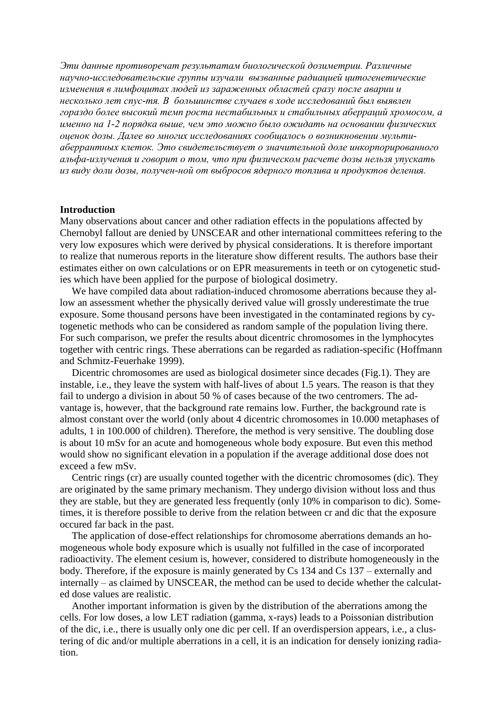*Эти данные противоречат результатам биологической дозиметрии. Различные научно-исследовательские группы изучали вызванные радиацией цитогенетические изменения в лимфоцитах людей из зараженных областей сразу после аварии и несколько лет спус-тя. В большинстве случаев в ходе исследований был выявлен гораздо более высокий темп роста нестабильных и стабильных аберраций хромосом, а именно на 1-2 порядка выше, чем это можно было ожидать на основании физических оценок дозы. Далее во многих исследованиях сообщалось о возникновении мультиаберрантных клеток. Это свидетельствует о значительной доле инкорпорированного альфа-излучения и говорит о том, что при физическом расчете дозы нельзя упускать из виду доли дозы, получен-ной от выбросов ядерного топлива и продуктов деления.*

#### **Introduction**

Many observations about cancer and other radiation effects in the populations affected by Chernobyl fallout are denied by UNSCEAR and other international committees refering to the very low exposures which were derived by physical considerations. It is therefore important to realize that numerous reports in the literature show different results. The authors base their estimates either on own calculations or on EPR measurements in teeth or on cytogenetic studies which have been applied for the purpose of biological dosimetry.

We have compiled data about radiation-induced chromosome aberrations because they allow an assessment whether the physically derived value will grossly underestimate the true exposure. Some thousand persons have been investigated in the contaminated regions by cytogenetic methods who can be considered as random sample of the population living there. For such comparison, we prefer the results about dicentric chromosomes in the lymphocytes together with centric rings. These aberrations can be regarded as radiation-specific (Hoffmann and Schmitz-Feuerhake 1999).

Dicentric chromosomes are used as biological dosimeter since decades (Fig.1). They are instable, i.e., they leave the system with half-lives of about 1.5 years. The reason is that they fail to undergo a division in about 50 % of cases because of the two centromers. The advantage is, however, that the background rate remains low. Further, the background rate is almost constant over the world (only about 4 dicentric chromosomes in 10.000 metaphases of adults, 1 in 100.000 of children). Therefore, the method is very sensitive. The doubling dose is about 10 mSv for an acute and homogeneous whole body exposure. But even this method would show no significant elevation in a population if the average additional dose does not exceed a few mSv.

Centric rings (cr) are usually counted together with the dicentric chromosomes (dic). They are originated by the same primary mechanism. They undergo division without loss and thus they are stable, but they are generated less frequently (only 10% in comparison to dic). Sometimes, it is therefore possible to derive from the relation between cr and dic that the exposure occured far back in the past.

The application of dose-effect relationships for chromosome aberrations demands an homogeneous whole body exposure which is usually not fulfilled in the case of incorporated radioactivity. The element cesium is, however, considered to distribute homogeneously in the body. Therefore, if the exposure is mainly generated by Cs 134 and Cs 137 – externally and internally – as claimed by UNSCEAR, the method can be used to decide whether the calculated dose values are realistic.

Another important information is given by the distribution of the aberrations among the cells. For low doses, a low LET radiation (gamma, x-rays) leads to a Poissonian distribution of the dic, i.e., there is usually only one dic per cell. If an overdispersion appears, i.e., a clustering of dic and/or multiple aberrations in a cell, it is an indication for densely ionizing radiation.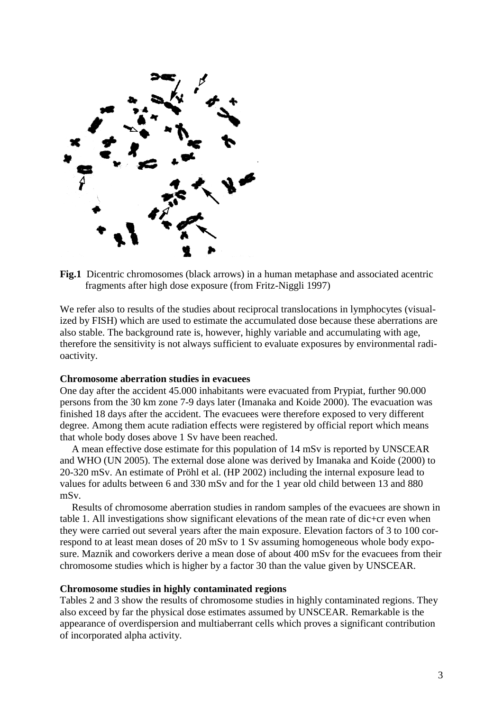

**Fig.1** Dicentric chromosomes (black arrows) in a human metaphase and associated acentric fragments after high dose exposure (from Fritz-Niggli 1997)

We refer also to results of the studies about reciprocal translocations in lymphocytes (visualized by FISH) which are used to estimate the accumulated dose because these aberrations are also stable. The background rate is, however, highly variable and accumulating with age, therefore the sensitivity is not always sufficient to evaluate exposures by environmental radioactivity.

#### **Chromosome aberration studies in evacuees**

One day after the accident 45.000 inhabitants were evacuated from Prypiat, further 90.000 persons from the 30 km zone 7-9 days later (Imanaka and Koide 2000). The evacuation was finished 18 days after the accident. The evacuees were therefore exposed to very different degree. Among them acute radiation effects were registered by official report which means that whole body doses above 1 Sv have been reached.

A mean effective dose estimate for this population of 14 mSv is reported by UNSCEAR and WHO (UN 2005). The external dose alone was derived by Imanaka and Koide (2000) to 20-320 mSv. An estimate of Pröhl et al. (HP 2002) including the internal exposure lead to values for adults between 6 and 330 mSv and for the 1 year old child between 13 and 880 mSv.

Results of chromosome aberration studies in random samples of the evacuees are shown in table 1. All investigations show significant elevations of the mean rate of dic+cr even when they were carried out several years after the main exposure. Elevation factors of 3 to 100 correspond to at least mean doses of 20 mSv to 1 Sv assuming homogeneous whole body exposure. Maznik and coworkers derive a mean dose of about 400 mSv for the evacuees from their chromosome studies which is higher by a factor 30 than the value given by UNSCEAR.

#### **Chromosome studies in highly contaminated regions**

Tables 2 and 3 show the results of chromosome studies in highly contaminated regions. They also exceed by far the physical dose estimates assumed by UNSCEAR. Remarkable is the appearance of overdispersion and multiaberrant cells which proves a significant contribution of incorporated alpha activity.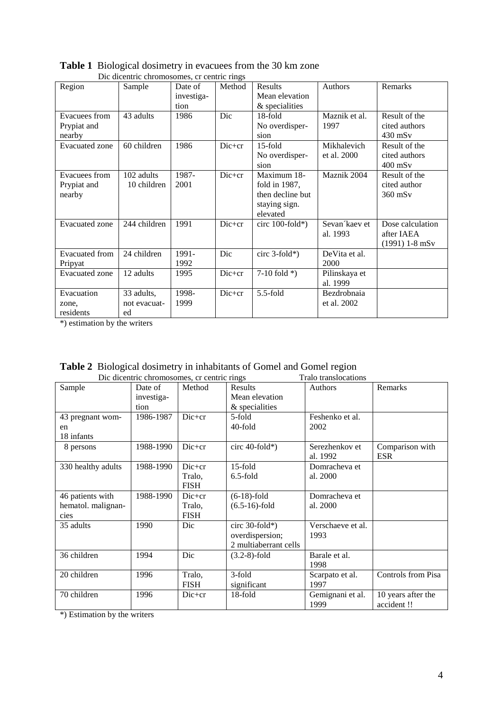| Die uitentrie einbinosomes, er tentrie rings |              |            |          |                    |                |                              |  |
|----------------------------------------------|--------------|------------|----------|--------------------|----------------|------------------------------|--|
| Region                                       | Sample       | Date of    | Method   | Results            | Authors        | Remarks                      |  |
|                                              |              | investiga- |          | Mean elevation     |                |                              |  |
|                                              |              | tion       |          | & specialities     |                |                              |  |
| Evacuees from                                | 43 adults    | 1986       | Dic      | 18-fold            | Maznik et al.  | Result of the                |  |
| Prypiat and                                  |              |            |          | No overdisper-     | 1997           | cited authors                |  |
| nearby                                       |              |            |          | sion               |                | $430$ mS <sub>v</sub>        |  |
| <b>Evacuated</b> zone                        | 60 children  | 1986       | $Dic+cr$ | $15$ -fold         | Mikhalevich    | Result of the                |  |
|                                              |              |            |          | No overdisper-     | et al. 2000    | cited authors                |  |
|                                              |              |            |          | sion               |                | $400$ mS <sub>v</sub>        |  |
| Evacuees from                                | 102 adults   | 1987-      | Dic+cr   | Maximum 18-        | Maznik 2004    | Result of the                |  |
| Prypiat and                                  | 10 children  | 2001       |          | fold in 1987,      |                | cited author                 |  |
| nearby                                       |              |            |          | then decline but   |                | $360$ mS <sub>v</sub>        |  |
|                                              |              |            |          | staying sign.      |                |                              |  |
|                                              |              |            |          | elevated           |                |                              |  |
| <b>Evacuated</b> zone                        | 244 children | 1991       | $Dic+cr$ | circ $100$ -fold*) | Sevan kaev et  | Dose calculation             |  |
|                                              |              |            |          |                    | al. 1993       | after IAEA                   |  |
|                                              |              |            |          |                    |                | $(1991)$ 1-8 mS <sub>v</sub> |  |
| <b>Evacuated</b> from                        | 24 children  | 1991-      | Dic      | circ $3$ -fold*)   | De Vita et al. |                              |  |
| Pripyat                                      |              | 1992       |          |                    | 2000           |                              |  |
| <b>Evacuated</b> zone                        | 12 adults    | 1995       | $Dic+cr$ | 7-10 fold $*$ )    | Pilinskaya et  |                              |  |
|                                              |              |            |          |                    | al. 1999       |                              |  |
| Evacuation                                   | 33 adults,   | 1998-      | $Dic+cr$ | $5.5$ -fold        | Bezdrobnaia    |                              |  |
| zone,                                        | not evacuat- | 1999       |          |                    | et al. 2002    |                              |  |
| residents                                    | ed           |            |          |                    |                |                              |  |

| <b>Table 1</b> Biological dosimetry in evacues from the 30 km zone |
|--------------------------------------------------------------------|
| Dic dicentric chromosomes, cr centric rings                        |

\*) estimation by the writers

| Die dieentrie enromosomes, er centrie rings<br>i raio transiocations |            |             |                       |                   |                    |  |  |
|----------------------------------------------------------------------|------------|-------------|-----------------------|-------------------|--------------------|--|--|
| Sample                                                               | Date of    | Method      | Results               | Authors           | Remarks            |  |  |
|                                                                      | investiga- |             | Mean elevation        |                   |                    |  |  |
|                                                                      | tion       |             | & specialities        |                   |                    |  |  |
| 43 pregnant wom-                                                     | 1986-1987  | Dic+cr      | 5-fold                | Feshenko et al.   |                    |  |  |
| en                                                                   |            |             | 40-fold               | 2002              |                    |  |  |
| 18 infants                                                           |            |             |                       |                   |                    |  |  |
| 8 persons                                                            | 1988-1990  | $Dic+cr$    | circ $40$ -fold*)     | Serezhenkov et    | Comparison with    |  |  |
|                                                                      |            |             |                       | al. 1992          | <b>ESR</b>         |  |  |
| 330 healthy adults                                                   | 1988-1990  | $Dic+cr$    | 15-fold               | Domracheva et     |                    |  |  |
|                                                                      |            | Tralo,      | $6.5$ -fold           | al. 2000          |                    |  |  |
|                                                                      |            | <b>FISH</b> |                       |                   |                    |  |  |
| 46 patients with                                                     | 1988-1990  | $Dic+cr$    | $(6-18)$ -fold        | Domracheva et     |                    |  |  |
| hematol. malignan-                                                   |            | Tralo,      | $(6.5-16)$ -fold      | al. 2000          |                    |  |  |
| cies                                                                 |            | <b>FISH</b> |                       |                   |                    |  |  |
| 35 adults                                                            | 1990       | Dic         | circ $30$ -fold*)     | Verschaeve et al. |                    |  |  |
|                                                                      |            |             | overdispersion;       | 1993              |                    |  |  |
|                                                                      |            |             | 2 multiaberrant cells |                   |                    |  |  |
| 36 children                                                          | 1994       | Dic         | $(3.2-8)$ -fold       | Barale et al.     |                    |  |  |
|                                                                      |            |             |                       | 1998              |                    |  |  |
| 20 children                                                          | 1996       | Tralo,      | 3-fold                | Scarpato et al.   | Controls from Pisa |  |  |
|                                                                      |            | <b>FISH</b> | significant           | 1997              |                    |  |  |
| 70 children                                                          | 1996       | $Dic+cr$    | 18-fold               | Gemignani et al.  | 10 years after the |  |  |
|                                                                      |            |             |                       | 1999              | accident!          |  |  |

|                                             | <b>Table 2</b> Biological dosimetry in inhabitants of Gomel and Gomel region |                      |
|---------------------------------------------|------------------------------------------------------------------------------|----------------------|
| Dic dicentric chromosomes, cr centric rings |                                                                              | Tralo translocations |

\*) Estimation by the writers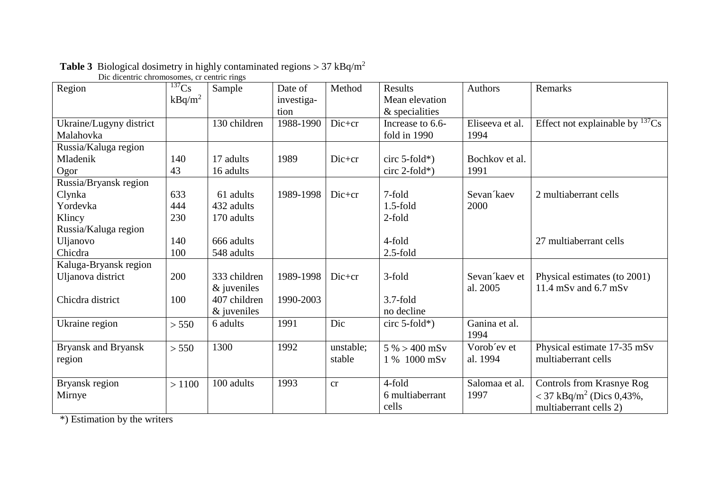| Dic dicentric chromosomes, cr centric rings |                       |               |            |           |                  |                 |                                      |
|---------------------------------------------|-----------------------|---------------|------------|-----------|------------------|-----------------|--------------------------------------|
| Region                                      | $\overline{^{137}Cs}$ | Sample        | Date of    | Method    | Results          | <b>Authors</b>  | Remarks                              |
|                                             | $kBq/m^2$             |               | investiga- |           | Mean elevation   |                 |                                      |
|                                             |                       |               | tion       |           | $&$ specialities |                 |                                      |
| Ukraine/Lugyny district                     |                       | 130 children  | 1988-1990  | Dic+cr    | Increase to 6.6- | Eliseeva et al. | Effect not explainable by $^{137}Cs$ |
| Malahovka                                   |                       |               |            |           | fold in 1990     | 1994            |                                      |
| Russia/Kaluga region                        |                       |               |            |           |                  |                 |                                      |
| Mladenik                                    | 140                   | 17 adults     | 1989       | Dic+cr    | circ $5$ -fold*) | Bochkov et al.  |                                      |
| Ogor                                        | 43                    | 16 adults     |            |           | $circ 2-fold*)$  | 1991            |                                      |
| Russia/Bryansk region                       |                       |               |            |           |                  |                 |                                      |
| Clynka                                      | 633                   | 61 adults     | 1989-1998  | Dic+cr    | 7-fold           | Sevan kaev      | 2 multiaberrant cells                |
| Yordevka                                    | 444                   | 432 adults    |            |           | $1.5$ -fold      | 2000            |                                      |
| Klincy                                      | 230                   | 170 adults    |            |           | $2$ -fold        |                 |                                      |
| Russia/Kaluga region                        |                       |               |            |           |                  |                 |                                      |
| Uljanovo                                    | 140                   | 666 adults    |            |           | 4-fold           |                 | 27 multiaberrant cells               |
| Chicdra                                     | 100                   | 548 adults    |            |           | $2.5$ -fold      |                 |                                      |
| Kaluga-Bryansk region                       |                       |               |            |           |                  |                 |                                      |
| Uljanova district                           | 200                   | 333 children  | 1989-1998  | $Dic+cr$  | 3-fold           | Sevan kaev et   | Physical estimates (to 2001)         |
|                                             |                       | $&$ juveniles |            |           |                  | al. 2005        | 11.4 mSv and $6.7$ mSv               |
| Chicdra district                            | 100                   | 407 children  | 1990-2003  |           | $3.7$ -fold      |                 |                                      |
|                                             |                       | $&$ juveniles |            |           | no decline       |                 |                                      |
| Ukraine region                              | > 550                 | 6 adults      | 1991       | Dic       | circ $5$ -fold*) | Ganina et al.   |                                      |
|                                             |                       |               |            |           |                  | 1994            |                                      |
| <b>Bryansk and Bryansk</b>                  | > 550                 | 1300          | 1992       | unstable: | $5\% > 400$ mSv  | Vorob'ev et     | Physical estimate 17-35 mSv          |
| region                                      |                       |               |            | stable    | 1 % 1000 mSv     | al. 1994        | multiaberrant cells                  |
|                                             |                       |               |            |           |                  |                 |                                      |
| Bryansk region                              | >1100                 | 100 adults    | 1993       | cr        | 4-fold           | Salomaa et al.  | Controls from Krasnye Rog            |
| Mirnye                                      |                       |               |            |           | 6 multiaberrant  | 1997            | < 37 kBq/m <sup>2</sup> (Dics 0,43%, |
|                                             |                       |               |            |           | cells            |                 | multiaberrant cells 2)               |

# **Table 3** Biological dosimetry in highly contaminated regions  $> 37$  kBq/m<sup>2</sup>

\*) Estimation by the writers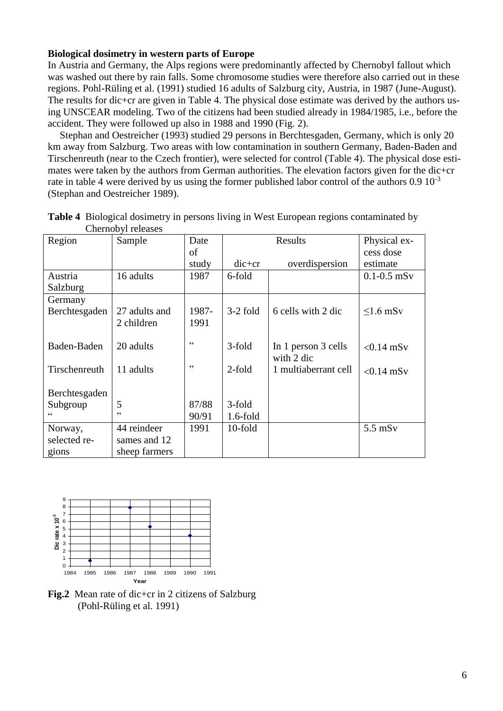## **Biological dosimetry in western parts of Europe**

In Austria and Germany, the Alps regions were predominantly affected by Chernobyl fallout which was washed out there by rain falls. Some chromosome studies were therefore also carried out in these regions. Pohl-Rüling et al. (1991) studied 16 adults of Salzburg city, Austria, in 1987 (June-August). The results for dic+cr are given in Table 4. The physical dose estimate was derived by the authors using UNSCEAR modeling. Two of the citizens had been studied already in 1984/1985, i.e., before the accident. They were followed up also in 1988 and 1990 (Fig. 2).

Stephan and Oestreicher (1993) studied 29 persons in Berchtesgaden, Germany, which is only 20 km away from Salzburg. Two areas with low contamination in southern Germany, Baden-Baden and Tirschenreuth (near to the Czech frontier), were selected for control (Table 4). The physical dose estimates were taken by the authors from German authorities. The elevation factors given for the dic+cr rate in table 4 were derived by us using the former published labor control of the authors 0.9 10<sup>-3</sup> (Stephan and Oestreicher 1989).

| Region        | Sample        | Date  |             | Physical ex-         |                 |
|---------------|---------------|-------|-------------|----------------------|-----------------|
|               |               | of    |             |                      | cess dose       |
|               |               | study | $dic+cr$    | overdispersion       | estimate        |
| Austria       | 16 adults     | 1987  | 6-fold      |                      | $0.1 - 0.5$ mSv |
| Salzburg      |               |       |             |                      |                 |
| Germany       |               |       |             |                      |                 |
| Berchtesgaden | 27 adults and | 1987- | $3-2$ fold  | 6 cells with 2 dic   | $\leq 1.6$ mSv  |
|               | 2 children    | 1991  |             |                      |                 |
|               |               |       |             |                      |                 |
| Baden-Baden   | 20 adults     | , 2   | 3-fold      | In 1 person 3 cells  | $< 0.14$ mSv    |
|               |               |       |             | with 2 dic           |                 |
| Tirschenreuth | 11 adults     | , 2   | $2$ -fold   | 1 multiaberrant cell | $< 0.14$ mSv    |
|               |               |       |             |                      |                 |
| Berchtesgaden |               |       |             |                      |                 |
| Subgroup      | 5             | 87/88 | 3-fold      |                      |                 |
| $\epsilon$    | , 2           | 90/91 | $1.6$ -fold |                      |                 |
| Norway,       | 44 reindeer   | 1991  | 10-fold     |                      | $5.5$ mS $v$    |
| selected re-  | sames and 12  |       |             |                      |                 |
| gions         | sheep farmers |       |             |                      |                 |

**Table 4** Biological dosimetry in persons living in West European regions contaminated by Chernobyl releases



**Fig.2** Mean rate of dic+cr in 2 citizens of Salzburg (Pohl-Rüling et al. 1991)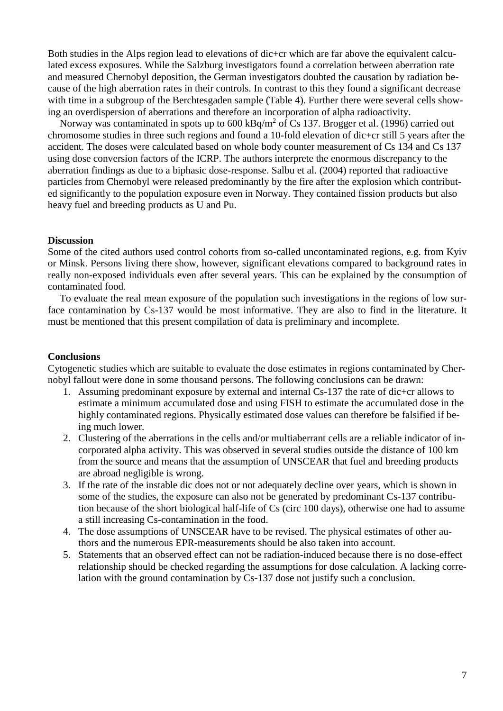Both studies in the Alps region lead to elevations of dic+cr which are far above the equivalent calculated excess exposures. While the Salzburg investigators found a correlation between aberration rate and measured Chernobyl deposition, the German investigators doubted the causation by radiation because of the high aberration rates in their controls. In contrast to this they found a significant decrease with time in a subgroup of the Berchtesgaden sample (Table 4). Further there were several cells showing an overdispersion of aberrations and therefore an incorporation of alpha radioactivity.

Norway was contaminated in spots up to  $600 \text{ kBq/m}^2$  of Cs 137. Brogger et al. (1996) carried out chromosome studies in three such regions and found a 10-fold elevation of dic+cr still 5 years after the accident. The doses were calculated based on whole body counter measurement of Cs 134 and Cs 137 using dose conversion factors of the ICRP. The authors interprete the enormous discrepancy to the aberration findings as due to a biphasic dose-response. Salbu et al. (2004) reported that radioactive particles from Chernobyl were released predominantly by the fire after the explosion which contributed significantly to the population exposure even in Norway. They contained fission products but also heavy fuel and breeding products as U and Pu.

#### **Discussion**

Some of the cited authors used control cohorts from so-called uncontaminated regions, e.g. from Kyiv or Minsk. Persons living there show, however, significant elevations compared to background rates in really non-exposed individuals even after several years. This can be explained by the consumption of contaminated food.

To evaluate the real mean exposure of the population such investigations in the regions of low surface contamination by Cs-137 would be most informative. They are also to find in the literature. It must be mentioned that this present compilation of data is preliminary and incomplete.

#### **Conclusions**

Cytogenetic studies which are suitable to evaluate the dose estimates in regions contaminated by Chernobyl fallout were done in some thousand persons. The following conclusions can be drawn:

- 1. Assuming predominant exposure by external and internal Cs-137 the rate of dic+cr allows to estimate a minimum accumulated dose and using FISH to estimate the accumulated dose in the highly contaminated regions. Physically estimated dose values can therefore be falsified if being much lower.
- 2. Clustering of the aberrations in the cells and/or multiaberrant cells are a reliable indicator of incorporated alpha activity. This was observed in several studies outside the distance of 100 km from the source and means that the assumption of UNSCEAR that fuel and breeding products are abroad negligible is wrong.
- 3. If the rate of the instable dic does not or not adequately decline over years, which is shown in some of the studies, the exposure can also not be generated by predominant Cs-137 contribution because of the short biological half-life of Cs (circ 100 days), otherwise one had to assume a still increasing Cs-contamination in the food.
- 4. The dose assumptions of UNSCEAR have to be revised. The physical estimates of other authors and the numerous EPR-measurements should be also taken into account.
- 5. Statements that an observed effect can not be radiation-induced because there is no dose-effect relationship should be checked regarding the assumptions for dose calculation. A lacking correlation with the ground contamination by Cs-137 dose not justify such a conclusion.